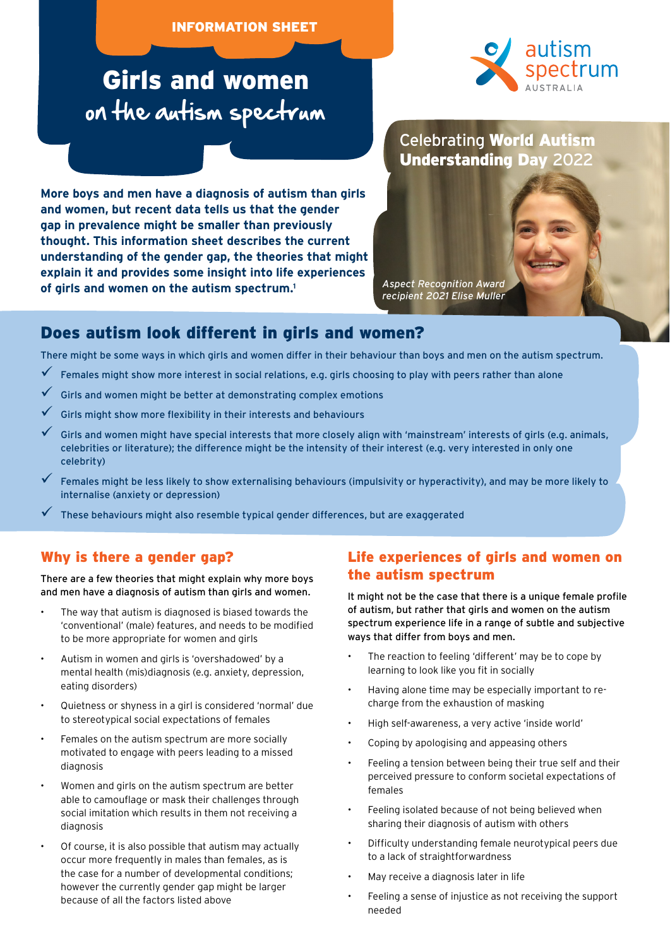#### INFORMATION SHEET

# Girls and women on the autism spectrum

**More boys and men have a diagnosis of autism than girls and women, but recent data tells us that the gender gap in prevalence might be smaller than previously thought. This information sheet describes the current understanding of the gender gap, the theories that might explain it and provides some insight into life experiences of girls and women on the autism spectrum.1**



# Celebrating World Autism Understanding Day 2022

*Aspect Recognition Award recipient 2021 Elise Muller*

## Does autism look different in girls and women?

There might be some ways in which girls and women differ in their behaviour than boys and men on the autism spectrum.

- $\checkmark$  Females might show more interest in social relations, e.g. girls choosing to play with peers rather than alone
- 9 Girls and women might be better at demonstrating complex emotions
- 9 Girls might show more flexibility in their interests and behaviours
- 9 Girls and women might have special interests that more closely align with 'mainstream' interests of girls (e.g. animals, celebrities or literature); the difference might be the intensity of their interest (e.g. very interested in only one celebrity)
- 9 Females might be less likely to show externalising behaviours (impulsivity or hyperactivity), and may be more likely to internalise (anxiety or depression)
- 9 These behaviours might also resemble typical gender differences, but are exaggerated

#### Why is there a gender gap?

There are a few theories that might explain why more boys and men have a diagnosis of autism than girls and women.

- The way that autism is diagnosed is biased towards the 'conventional' (male) features, and needs to be modified to be more appropriate for women and girls
- Autism in women and girls is 'overshadowed' by a mental health (mis)diagnosis (e.g. anxiety, depression, eating disorders)
- Quietness or shyness in a girl is considered 'normal' due to stereotypical social expectations of females
- Females on the autism spectrum are more socially motivated to engage with peers leading to a missed diagnosis
- Women and girls on the autism spectrum are better able to camouflage or mask their challenges through social imitation which results in them not receiving a diagnosis
- Of course, it is also possible that autism may actually occur more frequently in males than females, as is the case for a number of developmental conditions; however the currently gender gap might be larger because of all the factors listed above

#### Life experiences of girls and women on the autism spectrum

It might not be the case that there is a unique female profile of autism, but rather that girls and women on the autism spectrum experience life in a range of subtle and subjective ways that differ from boys and men.

- The reaction to feeling 'different' may be to cope by learning to look like you fit in socially
- Having alone time may be especially important to recharge from the exhaustion of masking
- High self-awareness, a very active 'inside world'
- Coping by apologising and appeasing others
- Feeling a tension between being their true self and their perceived pressure to conform societal expectations of females
- Feeling isolated because of not being believed when sharing their diagnosis of autism with others
- Difficulty understanding female neurotypical peers due to a lack of straightforwardness
- May receive a diagnosis later in life
- Feeling a sense of injustice as not receiving the support needed